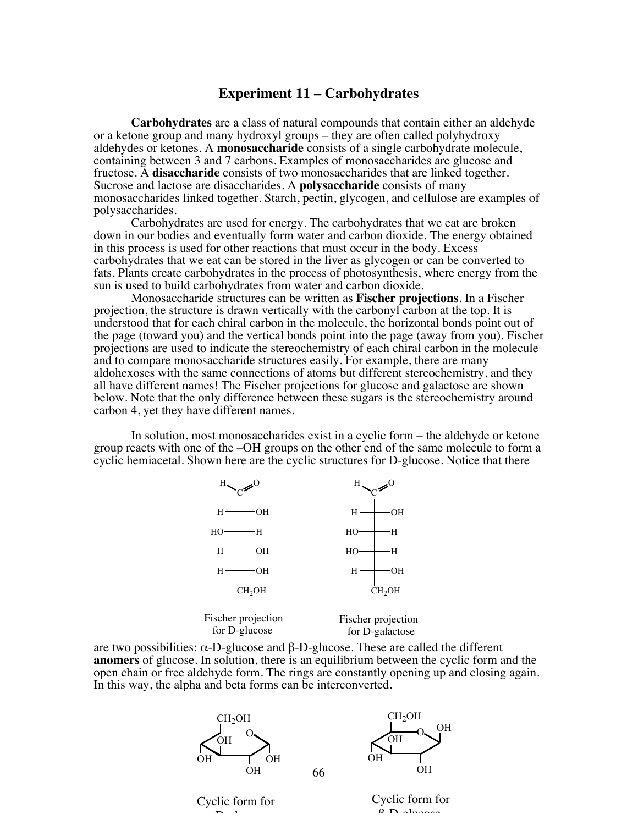## **Experiment 11 – Carbohydrates**

**Carbohydrates** are a class of natural compounds that contain either an aldehyde or a ketone group and many hydroxyl groups – they are often called polyhydroxy aldehydes or ketones. A **monosaccharide** consists of a single carbohydrate molecule, containing between 3 and 7 carbons. Examples of monosaccharides are glucose and fructose. A **disaccharide** consists of two monosaccharides that are linked together. Sucrose and lactose are disaccharides. A **polysaccharide** consists of many monosaccharides linked together. Starch, pectin, glycogen, and cellulose are examples of polysaccharides.

Carbohydrates are used for energy. The carbohydrates that we eat are broken down in our bodies and eventually form water and carbon dioxide. The energy obtained in this process is used for other reactions that must occur in the body. Excess carbohydrates that we eat can be stored in the liver as glycogen or can be converted to fats. Plants create carbohydrates in the process of photosynthesis, where energy from the sun is used to build carbohydrates from water and carbon dioxide.

Monosaccharide structures can be written as **Fischer projections**. In a Fischer projection, the structure is drawn vertically with the carbonyl carbon at the top. It is understood that for each chiral carbon in the molecule, the horizontal bonds point out of the page (toward you) and the vertical bonds point into the page (away from you). Fischer projections are used to indicate the stereochemistry of each chiral carbon in the molecule and to compare monosaccharide structures easily. For example, there are many aldohexoses with the same connections of atoms but different stereochemistry, and they all have different names! The Fischer projections for glucose and galactose are shown below. Note that the only difference between these sugars is the stereochemistry around carbon 4, yet they have different names.

In solution, most monosaccharides exist in a cyclic form – the aldehyde or ketone group reacts with one of the –OH groups on the other end of the same molecule to form a cyclic hemiacetal. Shown here are the cyclic structures for D-glucose. Notice that there



are two possibilities:  $\alpha$ -D-glucose and  $\beta$ -D-glucose. These are called the different **anomers** of glucose. In solution, there is an equilibrium between the cyclic form and the open chain or free aldehyde form. The rings are constantly opening up and closing again. In this way, the alpha and beta forms can be interconverted.

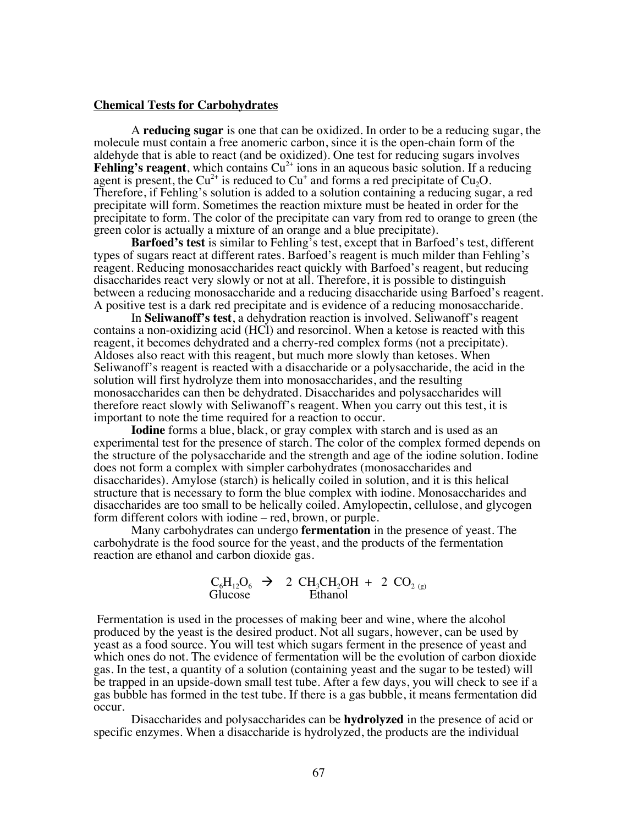#### **Chemical Tests for Carbohydrates**

A **reducing sugar** is one that can be oxidized. In order to be a reducing sugar, the molecule must contain a free anomeric carbon, since it is the open-chain form of the aldehyde that is able to react (and be oxidized). One test for reducing sugars involves **Fehling's reagent**, which contains  $Cu^{2+}$  ions in an aqueous basic solution. If a reducing agent is present, the  $Cu^{2+}$  is reduced to  $Cu^{+}$  and forms a red precipitate of  $Cu<sub>2</sub>O$ . Therefore, if Fehling's solution is added to a solution containing a reducing sugar, a red precipitate will form. Sometimes the reaction mixture must be heated in order for the precipitate to form. The color of the precipitate can vary from red to orange to green (the green color is actually a mixture of an orange and a blue precipitate).

**Barfoed's test** is similar to Fehling's test, except that in Barfoed's test, different types of sugars react at different rates. Barfoed's reagent is much milder than Fehling's reagent. Reducing monosaccharides react quickly with Barfoed's reagent, but reducing disaccharides react very slowly or not at all. Therefore, it is possible to distinguish between a reducing monosaccharide and a reducing disaccharide using Barfoed's reagent. A positive test is a dark red precipitate and is evidence of a reducing monosaccharide.

In **Seliwanoff's test**, a dehydration reaction is involved. Seliwanoff's reagent contains a non-oxidizing acid (HCl) and resorcinol. When a ketose is reacted with this reagent, it becomes dehydrated and a cherry-red complex forms (not a precipitate). Aldoses also react with this reagent, but much more slowly than ketoses. When Seliwanoff's reagent is reacted with a disaccharide or a polysaccharide, the acid in the solution will first hydrolyze them into monosaccharides, and the resulting monosaccharides can then be dehydrated. Disaccharides and polysaccharides will therefore react slowly with Seliwanoff's reagent. When you carry out this test, it is important to note the time required for a reaction to occur.

**Iodine** forms a blue, black, or gray complex with starch and is used as an experimental test for the presence of starch. The color of the complex formed depends on the structure of the polysaccharide and the strength and age of the iodine solution. Iodine does not form a complex with simpler carbohydrates (monosaccharides and disaccharides). Amylose (starch) is helically coiled in solution, and it is this helical structure that is necessary to form the blue complex with iodine. Monosaccharides and disaccharides are too small to be helically coiled. Amylopectin, cellulose, and glycogen form different colors with iodine – red, brown, or purple.

Many carbohydrates can undergo **fermentation** in the presence of yeast. The carbohydrate is the food source for the yeast, and the products of the fermentation reaction are ethanol and carbon dioxide gas.

$$
\begin{array}{ccc}\nC_6H_{12}O_6 & \rightarrow & 2 \text{ CH}_3CH_2OH + 2 \text{ CO}_{2 (g)} \\
Glucose & \text{Ethanol}\n\end{array}
$$

Fermentation is used in the processes of making beer and wine, where the alcohol produced by the yeast is the desired product. Not all sugars, however, can be used by yeast as a food source. You will test which sugars ferment in the presence of yeast and which ones do not. The evidence of fermentation will be the evolution of carbon dioxide gas. In the test, a quantity of a solution (containing yeast and the sugar to be tested) will be trapped in an upside-down small test tube. After a few days, you will check to see if a gas bubble has formed in the test tube. If there is a gas bubble, it means fermentation did occur.

Disaccharides and polysaccharides can be **hydrolyzed** in the presence of acid or specific enzymes. When a disaccharide is hydrolyzed, the products are the individual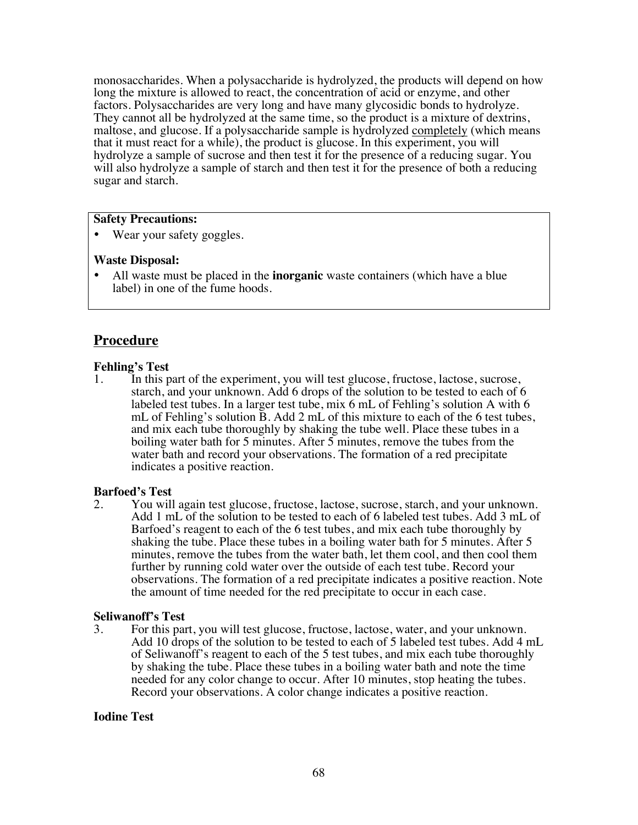monosaccharides. When a polysaccharide is hydrolyzed, the products will depend on how long the mixture is allowed to react, the concentration of acid or enzyme, and other factors. Polysaccharides are very long and have many glycosidic bonds to hydrolyze. They cannot all be hydrolyzed at the same time, so the product is a mixture of dextrins, maltose, and glucose. If a polysaccharide sample is hydrolyzed completely (which means that it must react for a while), the product is glucose. In this experiment, you will hydrolyze a sample of sucrose and then test it for the presence of a reducing sugar. You will also hydrolyze a sample of starch and then test it for the presence of both a reducing sugar and starch.

## **Safety Precautions:**

• Wear your safety goggles.

#### **Waste Disposal:**

• All waste must be placed in the **inorganic** waste containers (which have a blue label) in one of the fume hoods.

## **Procedure**

## **Fehling's Test**

1. In this part of the experiment, you will test glucose, fructose, lactose, sucrose, starch, and your unknown. Add 6 drops of the solution to be tested to each of 6 labeled test tubes. In a larger test tube, mix 6 mL of Fehling's solution A with 6 mL of Fehling's solution B. Add 2 mL of this mixture to each of the 6 test tubes, and mix each tube thoroughly by shaking the tube well. Place these tubes in a boiling water bath for 5 minutes. After 5 minutes, remove the tubes from the water bath and record your observations. The formation of a red precipitate indicates a positive reaction.

#### **Barfoed's Test**

2. You will again test glucose, fructose, lactose, sucrose, starch, and your unknown. Add 1 mL of the solution to be tested to each of 6 labeled test tubes. Add 3 mL of Barfoed's reagent to each of the 6 test tubes, and mix each tube thoroughly by shaking the tube. Place these tubes in a boiling water bath for 5 minutes. After 5 minutes, remove the tubes from the water bath, let them cool, and then cool them further by running cold water over the outside of each test tube. Record your observations. The formation of a red precipitate indicates a positive reaction. Note the amount of time needed for the red precipitate to occur in each case.

#### **Seliwanoff's Test**

3. For this part, you will test glucose, fructose, lactose, water, and your unknown. Add 10 drops of the solution to be tested to each of 5 labeled test tubes. Add 4 mL of Seliwanoff's reagent to each of the 5 test tubes, and mix each tube thoroughly by shaking the tube. Place these tubes in a boiling water bath and note the time needed for any color change to occur. After 10 minutes, stop heating the tubes. Record your observations. A color change indicates a positive reaction.

#### **Iodine Test**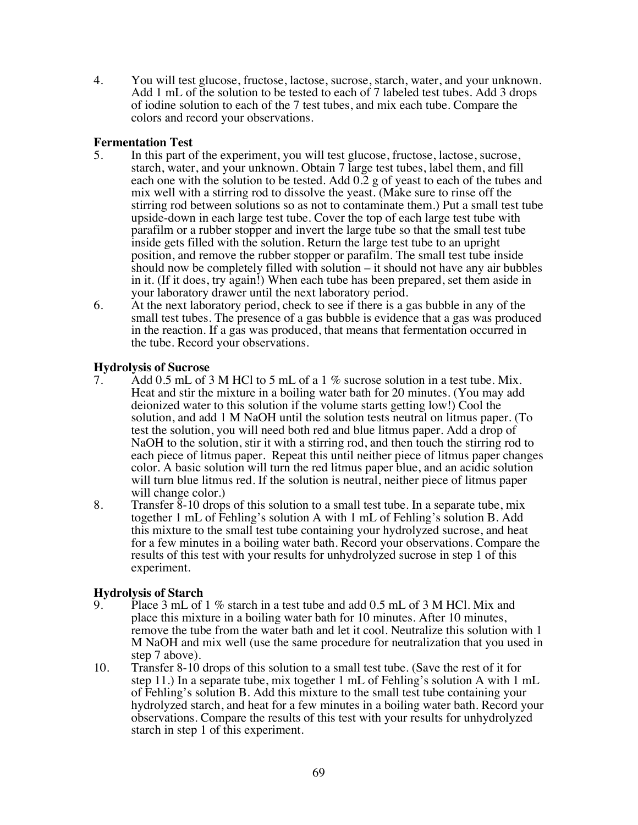4. You will test glucose, fructose, lactose, sucrose, starch, water, and your unknown. Add 1 mL of the solution to be tested to each of 7 labeled test tubes. Add 3 drops of iodine solution to each of the 7 test tubes, and mix each tube. Compare the colors and record your observations.

## **Fermentation Test**

- 5. In this part of the experiment, you will test glucose, fructose, lactose, sucrose, starch, water, and your unknown. Obtain 7 large test tubes, label them, and fill each one with the solution to be tested. Add 0.2 g of yeast to each of the tubes and mix well with a stirring rod to dissolve the yeast. (Make sure to rinse off the stirring rod between solutions so as not to contaminate them.) Put a small test tube upside-down in each large test tube. Cover the top of each large test tube with parafilm or a rubber stopper and invert the large tube so that the small test tube inside gets filled with the solution. Return the large test tube to an upright position, and remove the rubber stopper or parafilm. The small test tube inside should now be completely filled with solution – it should not have any air bubbles in it. (If it does, try again!) When each tube has been prepared, set them aside in your laboratory drawer until the next laboratory period.
- 6. At the next laboratory period, check to see if there is a gas bubble in any of the small test tubes. The presence of a gas bubble is evidence that a gas was produced in the reaction. If a gas was produced, that means that fermentation occurred in the tube. Record your observations.

## **Hydrolysis of Sucrose**

- 7. Add 0.5 mL of 3 M HCl to 5 mL of a 1 % sucrose solution in a test tube. Mix. Heat and stir the mixture in a boiling water bath for 20 minutes. (You may add deionized water to this solution if the volume starts getting low!) Cool the solution, and add 1 M NaOH until the solution tests neutral on litmus paper. (To test the solution, you will need both red and blue litmus paper. Add a drop of NaOH to the solution, stir it with a stirring rod, and then touch the stirring rod to each piece of litmus paper. Repeat this until neither piece of litmus paper changes color. A basic solution will turn the red litmus paper blue, and an acidic solution will turn blue litmus red. If the solution is neutral, neither piece of litmus paper will change color.)
- 8. Transfer  $\overline{8}$ -10 drops of this solution to a small test tube. In a separate tube, mix together 1 mL of Fehling's solution A with 1 mL of Fehling's solution B. Add this mixture to the small test tube containing your hydrolyzed sucrose, and heat for a few minutes in a boiling water bath. Record your observations. Compare the results of this test with your results for unhydrolyzed sucrose in step 1 of this experiment.

## **Hydrolysis of Starch**

- 9. Place 3 mL of 1 % starch in a test tube and add 0.5 mL of 3 M HCl. Mix and place this mixture in a boiling water bath for 10 minutes. After 10 minutes, remove the tube from the water bath and let it cool. Neutralize this solution with 1 M NaOH and mix well (use the same procedure for neutralization that you used in step 7 above).
- 10. Transfer 8-10 drops of this solution to a small test tube. (Save the rest of it for step 11.) In a separate tube, mix together 1 mL of Fehling's solution A with 1 mL of Fehling's solution B. Add this mixture to the small test tube containing your hydrolyzed starch, and heat for a few minutes in a boiling water bath. Record your observations. Compare the results of this test with your results for unhydrolyzed starch in step 1 of this experiment.